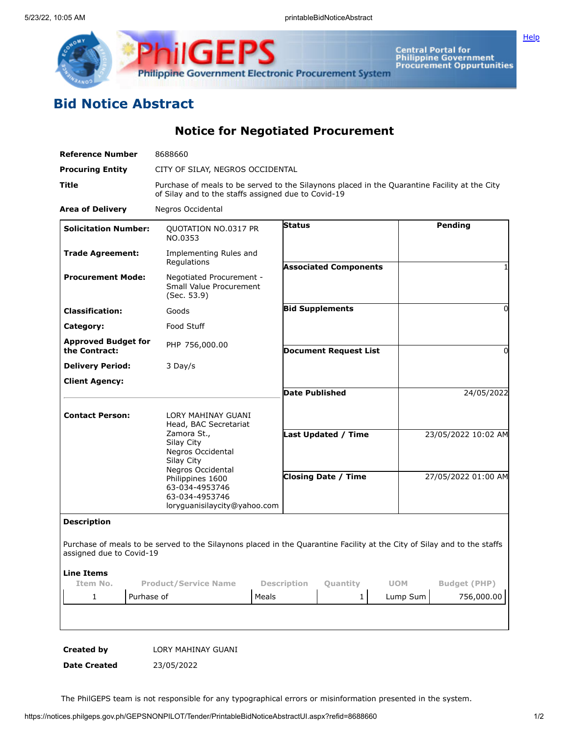

Central Portal for<br>Philippine Government<br>Procurement Oppurtunities

**[Help](javascript:void(window.open()** 

## **Bid Notice Abstract**

**Notice for Negotiated Procurement**

| <b>Reference Number</b>                     | 8688660                                                                                                   |                                  |                              |                                                                                                                          |
|---------------------------------------------|-----------------------------------------------------------------------------------------------------------|----------------------------------|------------------------------|--------------------------------------------------------------------------------------------------------------------------|
| <b>Procuring Entity</b>                     |                                                                                                           | CITY OF SILAY, NEGROS OCCIDENTAL |                              |                                                                                                                          |
| Title                                       | of Silay and to the staffs assigned due to Covid-19                                                       |                                  |                              | Purchase of meals to be served to the Silaynons placed in the Quarantine Facility at the City                            |
| <b>Area of Delivery</b>                     | Negros Occidental                                                                                         |                                  |                              |                                                                                                                          |
| <b>Solicitation Number:</b>                 | QUOTATION NO.0317 PR<br>NO.0353                                                                           | <b>Status</b>                    |                              | Pending                                                                                                                  |
| <b>Trade Agreement:</b>                     | Implementing Rules and<br>Regulations                                                                     |                                  | <b>Associated Components</b> |                                                                                                                          |
| <b>Procurement Mode:</b>                    | Negotiated Procurement -<br>Small Value Procurement<br>(Sec. 53.9)                                        |                                  |                              |                                                                                                                          |
| <b>Classification:</b>                      | Goods                                                                                                     |                                  | <b>Bid Supplements</b>       | 0                                                                                                                        |
| Category:                                   | Food Stuff                                                                                                |                                  |                              |                                                                                                                          |
| <b>Approved Budget for</b><br>the Contract: | PHP 756,000.00                                                                                            |                                  | <b>Document Request List</b> | 0                                                                                                                        |
| <b>Delivery Period:</b>                     | 3 Day/s                                                                                                   |                                  |                              |                                                                                                                          |
| <b>Client Agency:</b>                       |                                                                                                           | <b>Date Published</b>            |                              | 24/05/2022                                                                                                               |
| <b>Contact Person:</b>                      | LORY MAHINAY GUANI<br>Head, BAC Secretariat                                                               |                                  |                              |                                                                                                                          |
|                                             | Zamora St.,<br>Silay City<br>Negros Occidental<br>Silay City                                              |                                  | Last Updated / Time          | 23/05/2022 10:02 AM                                                                                                      |
|                                             | Negros Occidental<br>Philippines 1600<br>63-034-4953746<br>63-034-4953746<br>loryquanisilaycity@yahoo.com |                                  | <b>Closing Date / Time</b>   | 27/05/2022 01:00 AM                                                                                                      |
| <b>Description</b>                          |                                                                                                           |                                  |                              |                                                                                                                          |
| assigned due to Covid-19                    |                                                                                                           |                                  |                              | Purchase of meals to be served to the Silaynons placed in the Quarantine Facility at the City of Silay and to the staffs |
| <b>Line Items</b><br>Item No.               | <b>Product/Service Name</b>                                                                               | <b>Description</b>               | <b>Quantity</b>              | <b>UOM</b><br><b>Budget (PHP)</b>                                                                                        |
| 1                                           | Purhase of                                                                                                | Meals                            | 1                            | 756,000.00<br>Lump Sum                                                                                                   |

**Created by** LORY MAHINAY GUANI

**Date Created** 23/05/2022

The PhilGEPS team is not responsible for any typographical errors or misinformation presented in the system.